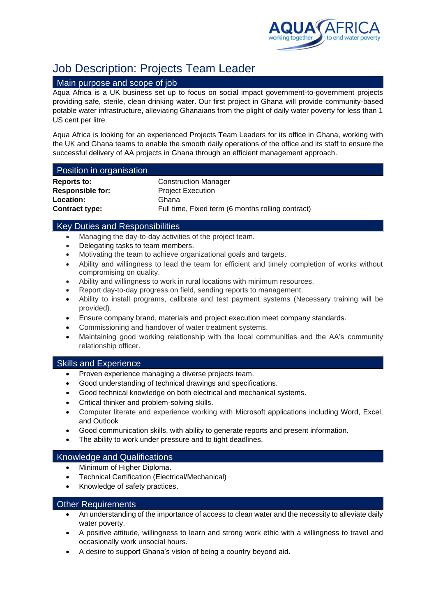

# Job Description: Projects Team Leader

## Main purpose and scope of job

Aqua Africa is a UK business set up to focus on social impact government-to-government projects providing safe, sterile, clean drinking water. Our first project in Ghana will provide community-based potable water infrastructure, alleviating Ghanaians from the plight of daily water poverty for less than 1 US cent per litre.

Aqua Africa is looking for an experienced Projects Team Leaders for its office in Ghana, working with the UK and Ghana teams to enable the smooth daily operations of the office and its staff to ensure the successful delivery of AA projects in Ghana through an efficient management approach.

#### Position in organisation

| Construct  |
|------------|
| Project E  |
| Ghana      |
| Full time, |
|            |

**Reports** Manager **Responsible for:** Project Execution Fixed term (6 months rolling contract)

## Key Duties and Responsibilities

- Managing the day-to-day activities of the project team.
- Delegating tasks to team members.
- Motivating the team to achieve organizational goals and targets.
- Ability and willingness to lead the team for efficient and timely completion of works without compromising on quality.
- Ability and willingness to work in rural locations with minimum resources.
- Report day-to-day progress on field, sending reports to management.
- Ability to install programs, calibrate and test payment systems (Necessary training will be provided).
- Ensure company brand, materials and project execution meet company standards.
- Commissioning and handover of water treatment systems.
- Maintaining good working relationship with the local communities and the AA's community relationship officer.

#### Skills and Experience

- Proven experience managing a diverse projects team.
- Good understanding of technical drawings and specifications.
- Good technical knowledge on both electrical and mechanical systems.
- Critical thinker and problem-solving skills.
- Computer literate and experience working with Microsoft applications including Word, Excel, and Outlook
- Good communication skills, with ability to generate reports and present information.
- The ability to work under pressure and to tight deadlines.

# Knowledge and Qualifications

- Minimum of Higher Diploma.
- Technical Certification (Electrical/Mechanical)
- Knowledge of safety practices.

## Other Requirements

- An understanding of the importance of access to clean water and the necessity to alleviate daily water poverty.
- A positive attitude, willingness to learn and strong work ethic with a willingness to travel and occasionally work unsocial hours.
- A desire to support Ghana's vision of being a country beyond aid.